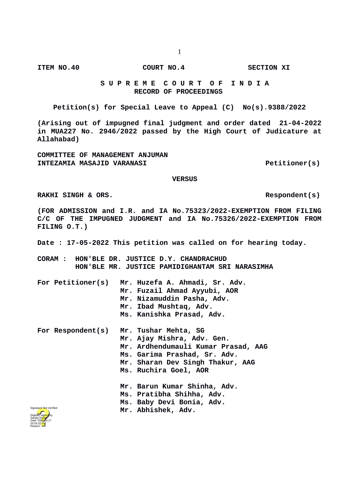**ITEM NO.40 COURT NO.4 SECTION XI**

## **S U P R E M E C O U R T O F I N D I A RECORD OF PROCEEDINGS**

**Petition(s) for Special Leave to Appeal (C) No(s).9388/2022**

**(Arising out of impugned final judgment and order dated 21-04-2022 in MUA227 No. 2946/2022 passed by the High Court of Judicature at Allahabad)**

**COMMITTEE OF MANAGEMENT ANJUMAN INTEZAMIA MASAJID VARANASI Petitioner(s)**

 **VERSUS**

RAKHI SINGH & ORS. **RAKHI SINGH & ORS.** 

**(FOR ADMISSION and I.R. and IA No.75323/2022-EXEMPTION FROM FILING C/C OF THE IMPUGNED JUDGMENT and IA No.75326/2022-EXEMPTION FROM FILING O.T.)**

**Date : 17-05-2022 This petition was called on for hearing today.**

**CORAM : HON'BLE DR. JUSTICE D.Y. CHANDRACHUD HON'BLE MR. JUSTICE PAMIDIGHANTAM SRI NARASIMHA**

**For Petitioner(s) Mr. Huzefa A. Ahmadi, Sr. Adv. Mr. Fuzail Ahmad Ayyubi, AOR Mr. Nizamuddin Pasha, Adv. Mr. Ibad Mushtaq, Adv. Ms. Kanishka Prasad, Adv. For Respondent(s) Mr. Tushar Mehta, SG Mr. Ajay Mishra, Adv. Gen. Mr. Ardhendumauli Kumar Prasad, AAG Ms. Garima Prashad, Sr. Adv. Mr. Sharan Dev Singh Thakur, AAG Ms. Ruchira Goel, AOR Mr. Barun Kumar Shinha, Adv. Ms. Pratibha Shihha, Adv. Ms. Baby Devi Bonia, Adv. Mr. Abhishek, Adv.**

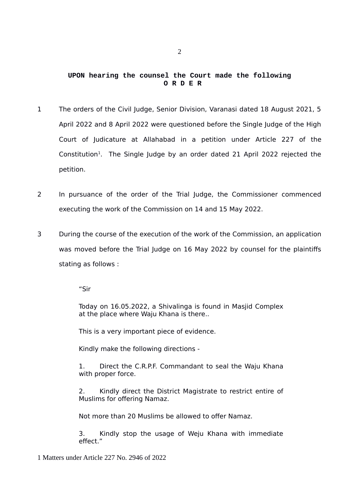## **UPON hearing the counsel the Court made the following O R D E R**

- 1 The orders of the Civil Judge, Senior Division, Varanasi dated 18 August 2021, 5 April 2022 and 8 April 2022 were questioned before the Single Judge of the High Court of Judicature at Allahabad in a petition under Article 227 of the Constitution<sup>[1](#page-1-0)</sup>. The Single Judge by an order dated 21 April 2022 rejected the petition.
- 2 In pursuance of the order of the Trial Judge, the Commissioner commenced executing the work of the Commission on 14 and 15 May 2022.
- 3 During the course of the execution of the work of the Commission, an application was moved before the Trial Judge on 16 May 2022 by counsel for the plaintiffs stating as follows :

"Sir

Today on 16.05.2022, a Shivalinga is found in Masjid Complex at the place where Waju Khana is there..

This is a very important piece of evidence.

Kindly make the following directions -

1. Direct the C.R.P.F. Commandant to seal the Waju Khana with proper force.

2. Kindly direct the District Magistrate to restrict entire of Muslims for offering Namaz.

Not more than 20 Muslims be allowed to offer Namaz.

3. Kindly stop the usage of Weju Khana with immediate effect "

<span id="page-1-0"></span>1 Matters under Article 227 No. 2946 of 2022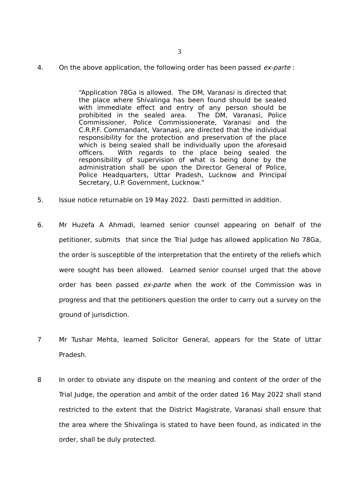4. On the above application, the following order has been passed  $ex\text{-}parte$ :

"Application 78Ga is allowed. The DM, Varanasi is directed that the place where Shivalinga has been found should be sealed with immediate effect and entry of any person should be prohibited in the sealed area. The DM, Varanasi, Police prohibited in the sealed area. Commissioner, Police Commissionerate, Varanasi and the C.R.P.F. Commandant, Varanasi, are directed that the individual responsibility for the protection and preservation of the place which is being sealed shall be individually upon the aforesaid officers. With regards to the place being sealed the responsibility of supervision of what is being done by the administration shall be upon the Director General of Police, Police Headquarters, Uttar Pradesh, Lucknow and Principal Secretary, U.P. Government, Lucknow."

- 5. Issue notice returnable on 19 May 2022. Dasti permitted in addition.
- 6. Mr Huzefa A Ahmadi, learned senior counsel appearing on behalf of the petitioner, submits that since the Trial Judge has allowed application No 78Ga, the order is susceptible of the interpretation that the entirety of the reliefs which were sought has been allowed. Learned senior counsel urged that the above order has been passed ex-parte when the work of the Commission was in progress and that the petitioners question the order to carry out a survey on the ground of jurisdiction.
- 7 Mr Tushar Mehta, learned Solicitor General, appears for the State of Uttar Pradesh.
- 8 In order to obviate any dispute on the meaning and content of the order of the Trial Judge, the operation and ambit of the order dated 16 May 2022 shall stand restricted to the extent that the District Magistrate, Varanasi shall ensure that the area where the Shivalinga is stated to have been found, as indicated in the order, shall be duly protected.